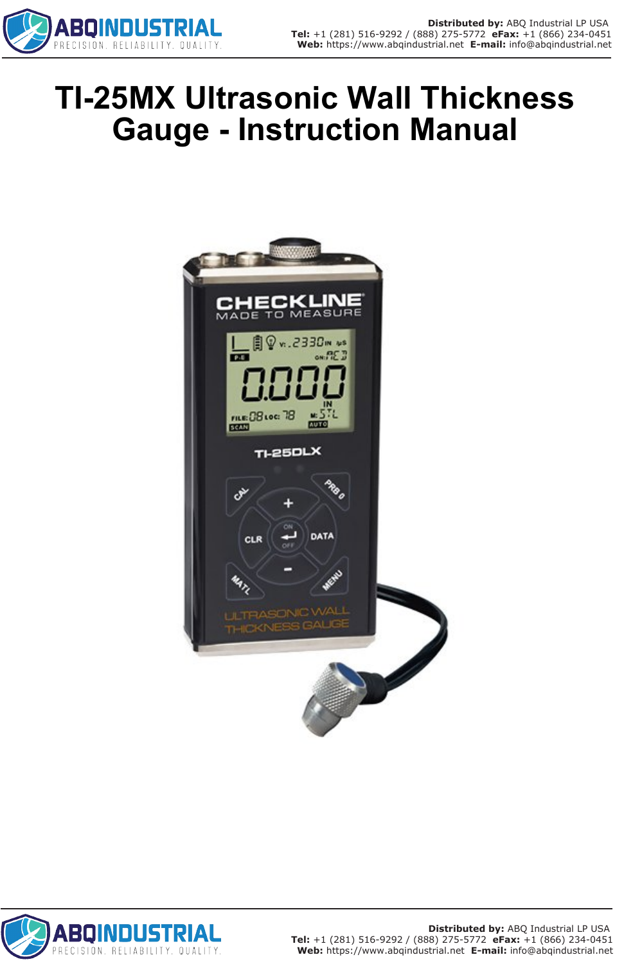

# **TI-25MX Ultrasonic Wall Thickness Gauge - Instruction Manual**



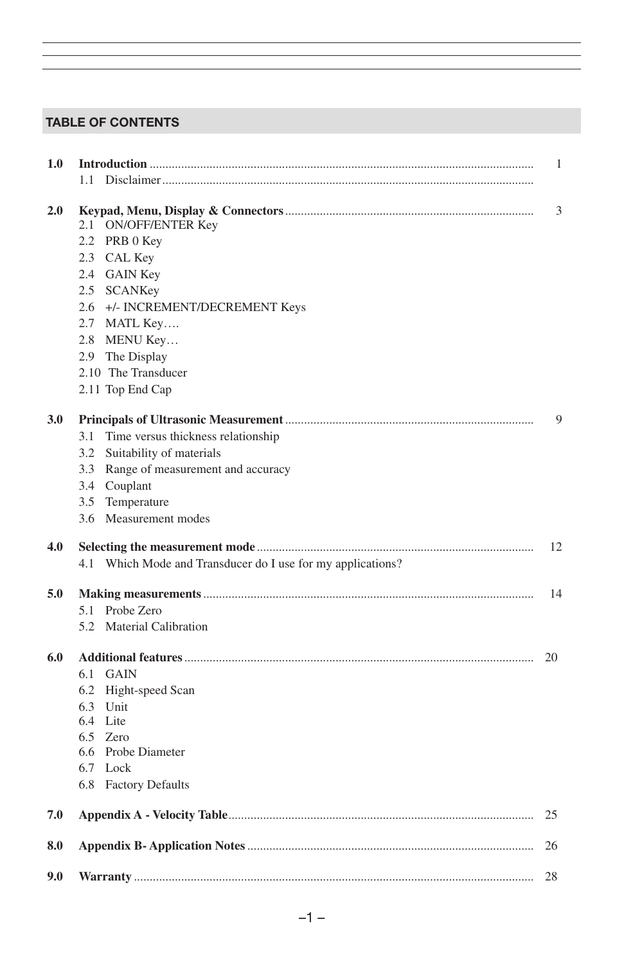# TABLE OF CONTENTS

| 1.0 |                                                             | 1  |
|-----|-------------------------------------------------------------|----|
|     | 11                                                          |    |
| 2.0 | ON/OFF/ENTER Key<br>2.1                                     | 3  |
|     | 2.2 PRB 0 Key                                               |    |
|     | 2.3 CAL Key                                                 |    |
|     | 2.4 GAIN Key                                                |    |
|     | 2.5 SCANKey                                                 |    |
|     | 2.6 +/- INCREMENT/DECREMENT Keys                            |    |
|     | 2.7 MATL Key                                                |    |
|     | 2.8 MENU Key                                                |    |
|     | 2.9 The Display                                             |    |
|     | 2.10 The Transducer                                         |    |
|     | 2.11 Top End Cap                                            |    |
| 3.0 |                                                             | 9  |
|     | Time versus thickness relationship<br>3.1                   |    |
|     | 3.2 Suitability of materials                                |    |
|     | 3.3 Range of measurement and accuracy                       |    |
|     | 3.4 Couplant                                                |    |
|     | 3.5 Temperature                                             |    |
|     | 3.6 Measurement modes                                       |    |
| 4.0 |                                                             | 12 |
|     | 4.1 Which Mode and Transducer do I use for my applications? |    |
| 5.0 |                                                             | 14 |
|     | 5.1 Probe Zero                                              |    |
|     | 5.2 Material Calibration                                    |    |
| 6.0 |                                                             | 20 |
|     | 6.1<br>GAIN                                                 |    |
|     | 6.2 Hight-speed Scan                                        |    |
|     | 6.3 Unit                                                    |    |
|     | 6.4 Lite                                                    |    |
|     | 6.5<br>Zero                                                 |    |
|     | 6.6 Probe Diameter                                          |    |
|     | 6.7 Lock                                                    |    |
|     | 6.8 Factory Defaults                                        |    |
| 7.0 |                                                             | 25 |
| 8.0 |                                                             | 26 |
| 9.0 |                                                             | 28 |
|     |                                                             |    |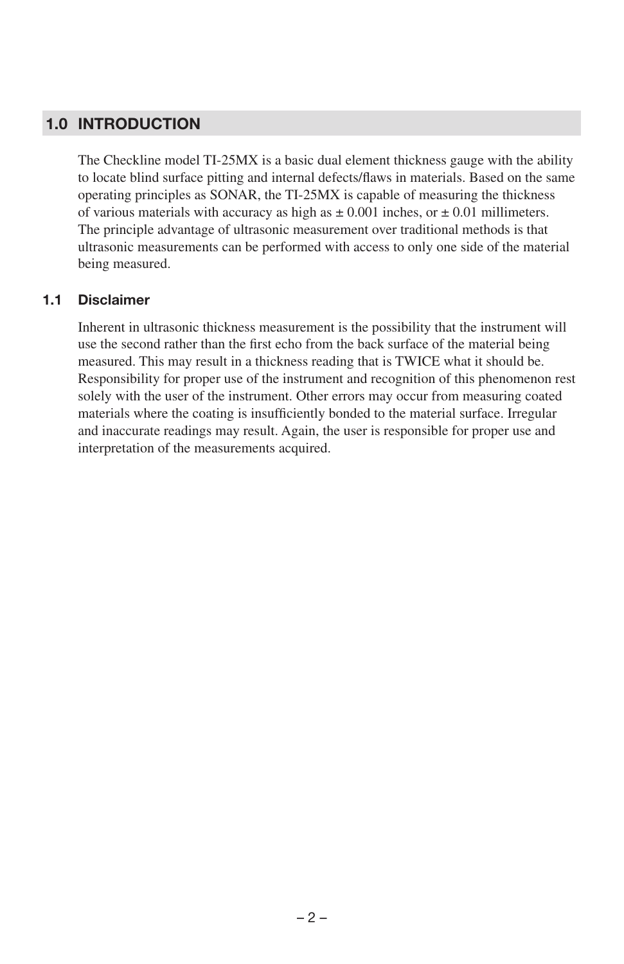# 1.0 INTRODUCTION

The Checkline model TI-25MX is a basic dual element thickness gauge with the ability to locate blind surface pitting and internal defects/flaws in materials. Based on the same operating principles as SONAR, the TI-25MX is capable of measuring the thickness of various materials with accuracy as high as  $\pm 0.001$  inches, or  $\pm 0.01$  millimeters. The principle advantage of ultrasonic measurement over traditional methods is that ultrasonic measurements can be performed with access to only one side of the material being measured.

#### 1.1 Disclaimer

Inherent in ultrasonic thickness measurement is the possibility that the instrument will use the second rather than the first echo from the back surface of the material being measured. This may result in a thickness reading that is TWICE what it should be. Responsibility for proper use of the instrument and recognition of this phenomenon rest solely with the user of the instrument. Other errors may occur from measuring coated materials where the coating is insufficiently bonded to the material surface. Irregular and inaccurate readings may result. Again, the user is responsible for proper use and interpretation of the measurements acquired.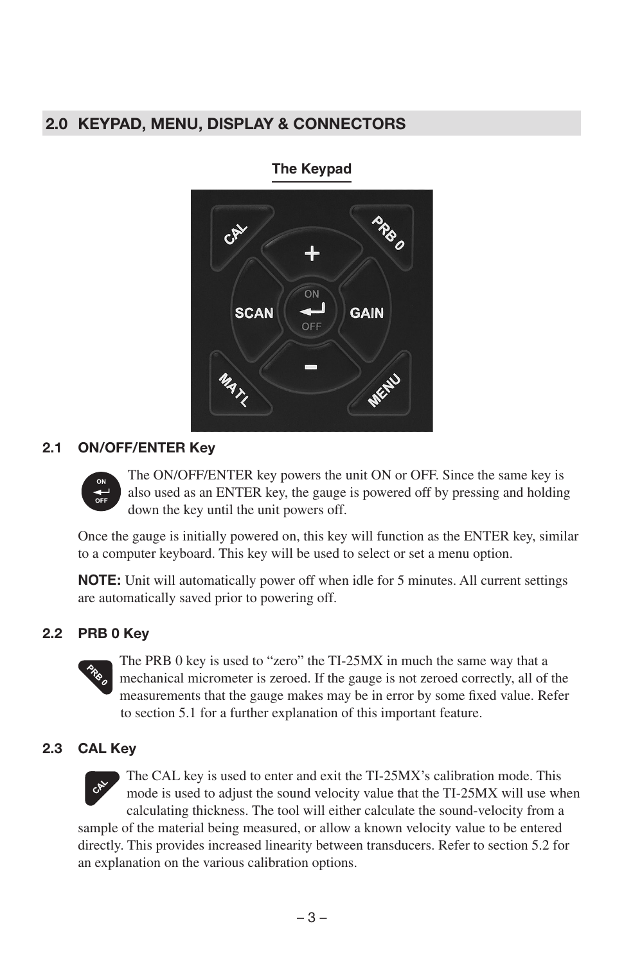# 2.0 KEYPAD, MENU, DISPLAY & CONNECTORS

# ON **SCAN GAIN** OFF

#### **The Keypad**

#### 2.1 ON/OFF/ENTER Key



The ON/OFF/ENTER key powers the unit ON or OFF. Since the same key is also used as an ENTER key, the gauge is powered off by pressing and holding down the key until the unit powers off.

Once the gauge is initially powered on, this key will function as the ENTER key, similar to a computer keyboard. This key will be used to select or set a menu option.

**NOTE:** Unit will automatically power off when idle for 5 minutes. All current settings are automatically saved prior to powering off.

#### 2.2 PRB 0 Key



The PRB 0 key is used to "zero" the TI-25MX in much the same way that a mechanical micrometer is zeroed. If the gauge is not zeroed correctly, all of the measurements that the gauge makes may be in error by some fixed value. Refer to section 5.1 for a further explanation of this important feature.

#### 2.3 CAL Key



The CAL key is used to enter and exit the TI-25MX's calibration mode. This mode is used to adjust the sound velocity value that the TI-25MX will use when calculating thickness. The tool will either calculate the sound-velocity from a

sample of the material being measured, or allow a known velocity value to be entered directly. This provides increased linearity between transducers. Refer to section 5.2 for an explanation on the various calibration options.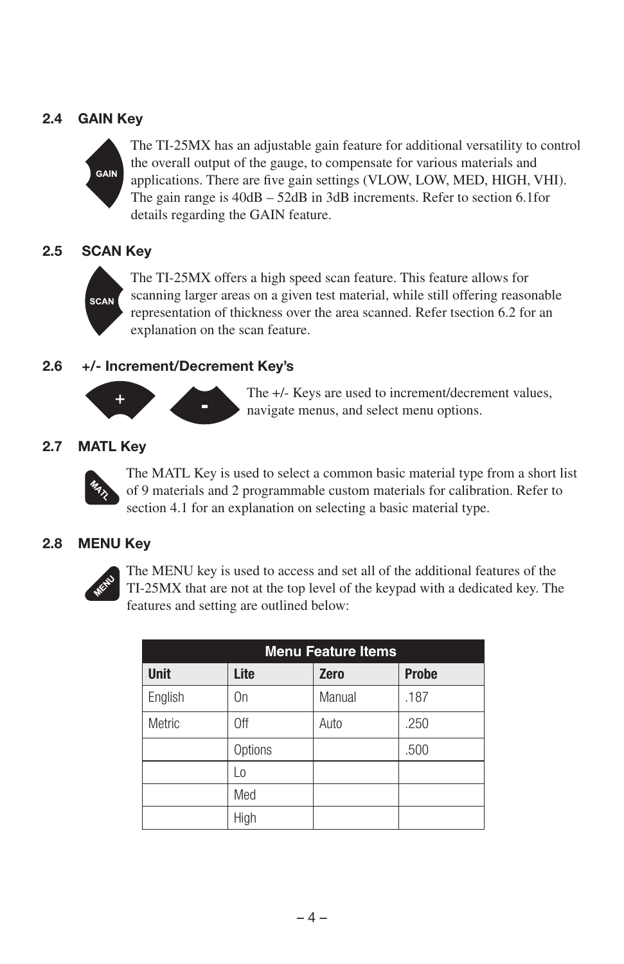# 2.4 GAIN Key



The TI-25MX has an adjustable gain feature for additional versatility to control the overall output of the gauge, to compensate for various materials and applications. There are five gain settings (VLOW, LOW, MED, HIGH, VHI). The gain range is 40dB – 52dB in 3dB increments. Refer to section 6.1for details regarding the GAIN feature.

#### 2.5 SCAN Key



The TI-25MX offers a high speed scan feature. This feature allows for scanning larger areas on a given test material, while still offering reasonable representation of thickness over the area scanned. Refer tsection 6.2 for an explanation on the scan feature.

#### 2.6 +/- Increment/Decrement Key's



The +/- Keys are used to increment/decrement values, navigate menus, and select menu options.

#### 2.7 MATL Key



The MATL Key is used to select a common basic material type from a short list of 9 materials and 2 programmable custom materials for calibration. Refer to section 4.1 for an explanation on selecting a basic material type.

#### 2.8 MENU Key



The MENU key is used to access and set all of the additional features of the TI-25MX that are not at the top level of the keypad with a dedicated key. The features and setting are outlined below:

| <b>Menu Feature Items</b> |         |             |              |  |  |  |  |
|---------------------------|---------|-------------|--------------|--|--|--|--|
| <b>Unit</b>               | Lite    | <b>Zero</b> | <b>Probe</b> |  |  |  |  |
| English                   | On      | Manual      | .187         |  |  |  |  |
| Metric                    | 0ff     | Auto        | .250         |  |  |  |  |
|                           | Options |             | .500         |  |  |  |  |
|                           | Lo      |             |              |  |  |  |  |
|                           | Med     |             |              |  |  |  |  |
|                           | High    |             |              |  |  |  |  |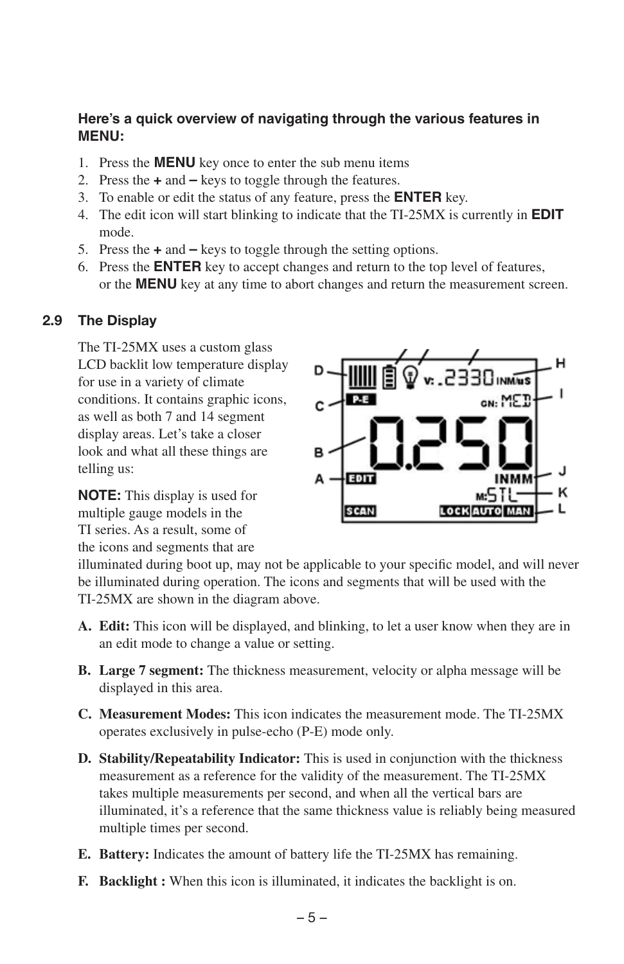#### **Here's a quick overview of navigating through the various features in MENU:**

- 1. Press the **MENU** key once to enter the sub menu items
- 2. Press the **+** and **–** keys to toggle through the features.
- 3. To enable or edit the status of any feature, press the **ENTER** key.
- 4. The edit icon will start blinking to indicate that the TI-25MX is currently in **EDIT** mode.
- 5. Press the **+** and **–** keys to toggle through the setting options.
- 6. Press the **ENTER** key to accept changes and return to the top level of features, or the **MENU** key at any time to abort changes and return the measurement screen.

#### 2.9 The Display

The TI-25MX uses a custom glass LCD backlit low temperature display for use in a variety of climate conditions. It contains graphic icons, as well as both 7 and 14 segment display areas. Let's take a closer look and what all these things are telling us:

**NOTE:** This display is used for multiple gauge models in the TI series. As a result, some of the icons and segments that are



illuminated during boot up, may not be applicable to your specific model, and will never be illuminated during operation. The icons and segments that will be used with the TI-25MX are shown in the diagram above.

- **A. Edit:** This icon will be displayed, and blinking, to let a user know when they are in an edit mode to change a value or setting.
- **B. Large 7 segment:** The thickness measurement, velocity or alpha message will be displayed in this area.
- **C. Measurement Modes:** This icon indicates the measurement mode. The TI-25MX operates exclusively in pulse-echo (P-E) mode only.
- **D. Stability/Repeatability Indicator:** This is used in conjunction with the thickness measurement as a reference for the validity of the measurement. The TI-25MX takes multiple measurements per second, and when all the vertical bars are illuminated, it's a reference that the same thickness value is reliably being measured multiple times per second.
- **E. Battery:** Indicates the amount of battery life the TI-25MX has remaining.
- **F. Backlight :** When this icon is illuminated, it indicates the backlight is on.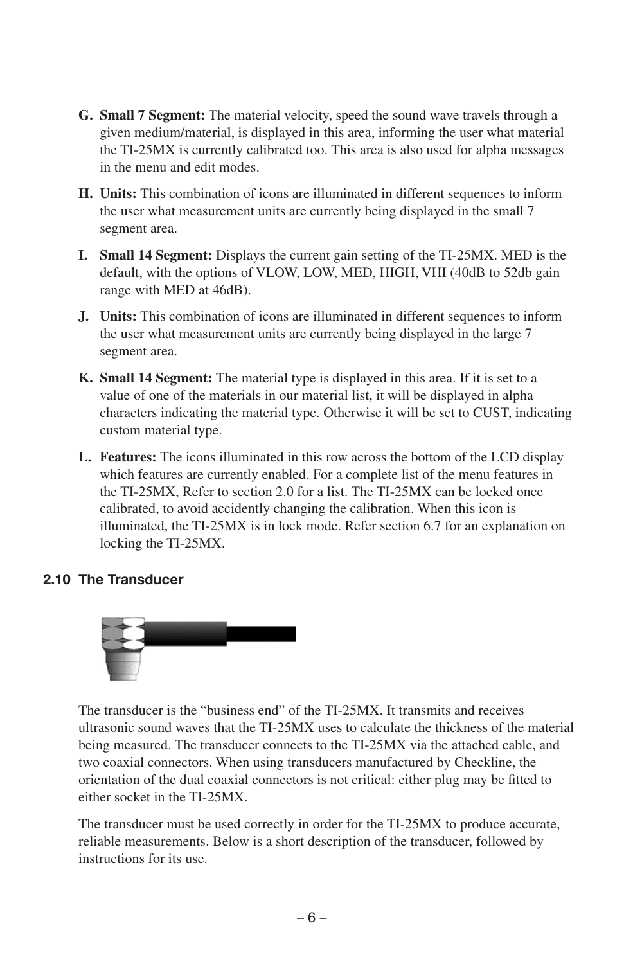- **G. Small 7 Segment:** The material velocity, speed the sound wave travels through a given medium/material, is displayed in this area, informing the user what material the TI-25MX is currently calibrated too. This area is also used for alpha messages in the menu and edit modes.
- **H. Units:** This combination of icons are illuminated in different sequences to inform the user what measurement units are currently being displayed in the small 7 segment area.
- **I. Small 14 Segment:** Displays the current gain setting of the TI-25MX. MED is the default, with the options of VLOW, LOW, MED, HIGH, VHI (40dB to 52db gain range with MED at 46dB).
- **J. Units:** This combination of icons are illuminated in different sequences to inform the user what measurement units are currently being displayed in the large 7 segment area.
- **K. Small 14 Segment:** The material type is displayed in this area. If it is set to a value of one of the materials in our material list, it will be displayed in alpha characters indicating the material type. Otherwise it will be set to CUST, indicating custom material type.
- **L. Features:** The icons illuminated in this row across the bottom of the LCD display which features are currently enabled. For a complete list of the menu features in the TI-25MX, Refer to section 2.0 for a list. The TI-25MX can be locked once calibrated, to avoid accidently changing the calibration. When this icon is illuminated, the TI-25MX is in lock mode. Refer section 6.7 for an explanation on locking the TI-25MX.

#### 2.10 The Transducer



The transducer is the "business end" of the TI-25MX. It transmits and receives ultrasonic sound waves that the TI-25MX uses to calculate the thickness of the material being measured. The transducer connects to the TI-25MX via the attached cable, and two coaxial connectors. When using transducers manufactured by Checkline, the orientation of the dual coaxial connectors is not critical: either plug may be fitted to either socket in the TI-25MX.

The transducer must be used correctly in order for the TI-25MX to produce accurate, reliable measurements. Below is a short description of the transducer, followed by instructions for its use.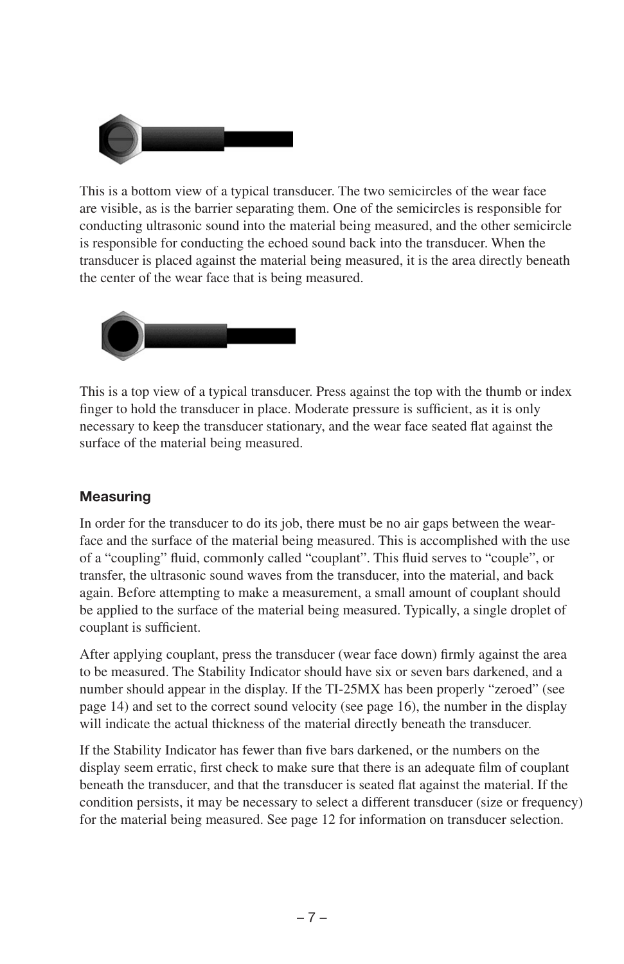

This is a bottom view of a typical transducer. The two semicircles of the wear face are visible, as is the barrier separating them. One of the semicircles is responsible for conducting ultrasonic sound into the material being measured, and the other semicircle is responsible for conducting the echoed sound back into the transducer. When the transducer is placed against the material being measured, it is the area directly beneath the center of the wear face that is being measured.



This is a top view of a typical transducer. Press against the top with the thumb or index finger to hold the transducer in place. Moderate pressure is sufficient, as it is only necessary to keep the transducer stationary, and the wear face seated flat against the surface of the material being measured.

#### **Measuring**

In order for the transducer to do its job, there must be no air gaps between the wearface and the surface of the material being measured. This is accomplished with the use of a "coupling" fluid, commonly called "couplant". This fluid serves to "couple", or transfer, the ultrasonic sound waves from the transducer, into the material, and back again. Before attempting to make a measurement, a small amount of couplant should be applied to the surface of the material being measured. Typically, a single droplet of couplant is sufficient.

After applying couplant, press the transducer (wear face down) firmly against the area to be measured. The Stability Indicator should have six or seven bars darkened, and a number should appear in the display. If the TI-25MX has been properly "zeroed" (see page 14) and set to the correct sound velocity (see page 16), the number in the display will indicate the actual thickness of the material directly beneath the transducer.

If the Stability Indicator has fewer than five bars darkened, or the numbers on the display seem erratic, first check to make sure that there is an adequate film of couplant beneath the transducer, and that the transducer is seated flat against the material. If the condition persists, it may be necessary to select a different transducer (size or frequency) for the material being measured. See page 12 for information on transducer selection.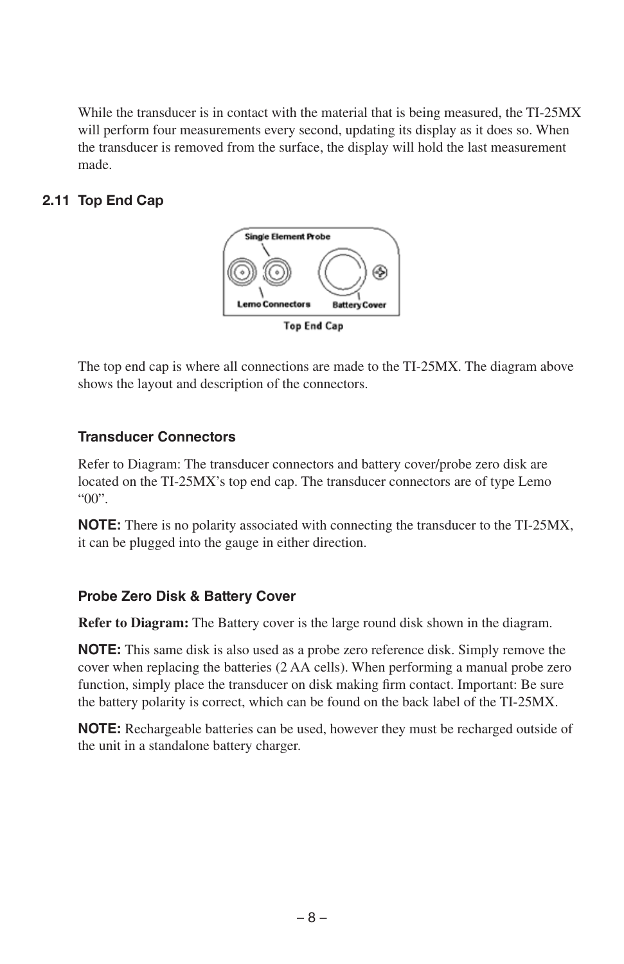While the transducer is in contact with the material that is being measured, the TI-25MX will perform four measurements every second, updating its display as it does so. When the transducer is removed from the surface, the display will hold the last measurement made.

# 2.11 Top End Cap



The top end cap is where all connections are made to the TI-25MX. The diagram above shows the layout and description of the connectors.

# **Transducer Connectors**

Refer to Diagram: The transducer connectors and battery cover/probe zero disk are located on the TI-25MX's top end cap. The transducer connectors are of type Lemo "00".

**NOTE:** There is no polarity associated with connecting the transducer to the TI-25MX, it can be plugged into the gauge in either direction.

# **Probe Zero Disk & Battery Cover**

**Refer to Diagram:** The Battery cover is the large round disk shown in the diagram.

**NOTE:** This same disk is also used as a probe zero reference disk. Simply remove the cover when replacing the batteries (2 AA cells). When performing a manual probe zero function, simply place the transducer on disk making firm contact. Important: Be sure the battery polarity is correct, which can be found on the back label of the TI-25MX.

**NOTE:** Rechargeable batteries can be used, however they must be recharged outside of the unit in a standalone battery charger.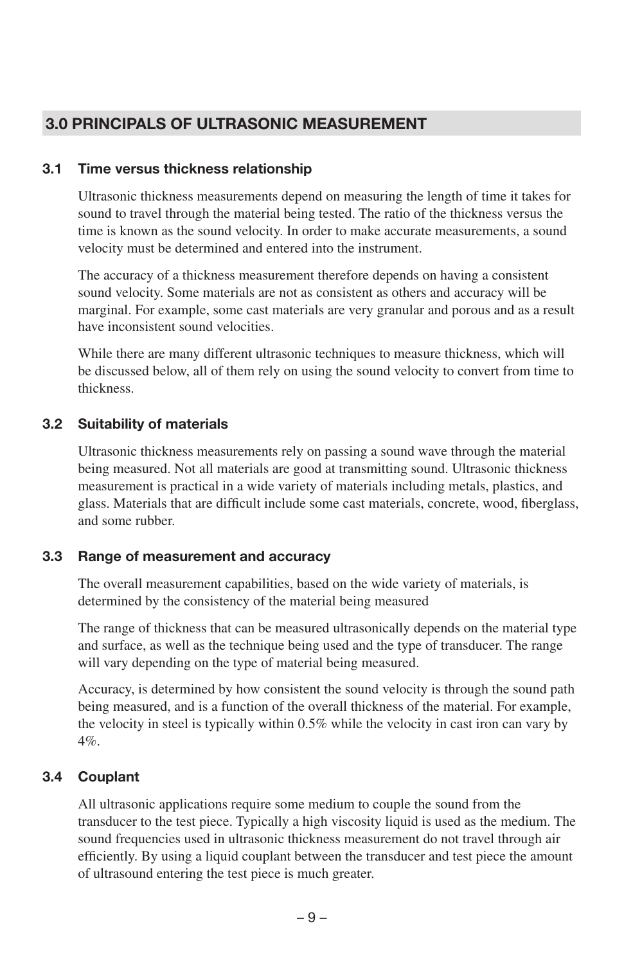# 3.0 PRINCIPALS OF ULTRASONIC MEASUREMENT

#### 3.1 Time versus thickness relationship

Ultrasonic thickness measurements depend on measuring the length of time it takes for sound to travel through the material being tested. The ratio of the thickness versus the time is known as the sound velocity. In order to make accurate measurements, a sound velocity must be determined and entered into the instrument.

The accuracy of a thickness measurement therefore depends on having a consistent sound velocity. Some materials are not as consistent as others and accuracy will be marginal. For example, some cast materials are very granular and porous and as a result have inconsistent sound velocities.

While there are many different ultrasonic techniques to measure thickness, which will be discussed below, all of them rely on using the sound velocity to convert from time to thickness.

#### 3.2 Suitability of materials

Ultrasonic thickness measurements rely on passing a sound wave through the material being measured. Not all materials are good at transmitting sound. Ultrasonic thickness measurement is practical in a wide variety of materials including metals, plastics, and glass. Materials that are difficult include some cast materials, concrete, wood, fiberglass, and some rubber.

#### 3.3 Range of measurement and accuracy

The overall measurement capabilities, based on the wide variety of materials, is determined by the consistency of the material being measured

The range of thickness that can be measured ultrasonically depends on the material type and surface, as well as the technique being used and the type of transducer. The range will vary depending on the type of material being measured.

Accuracy, is determined by how consistent the sound velocity is through the sound path being measured, and is a function of the overall thickness of the material. For example, the velocity in steel is typically within 0.5% while the velocity in cast iron can vary by 4%.

#### 3.4 Couplant

All ultrasonic applications require some medium to couple the sound from the transducer to the test piece. Typically a high viscosity liquid is used as the medium. The sound frequencies used in ultrasonic thickness measurement do not travel through air efficiently. By using a liquid couplant between the transducer and test piece the amount of ultrasound entering the test piece is much greater.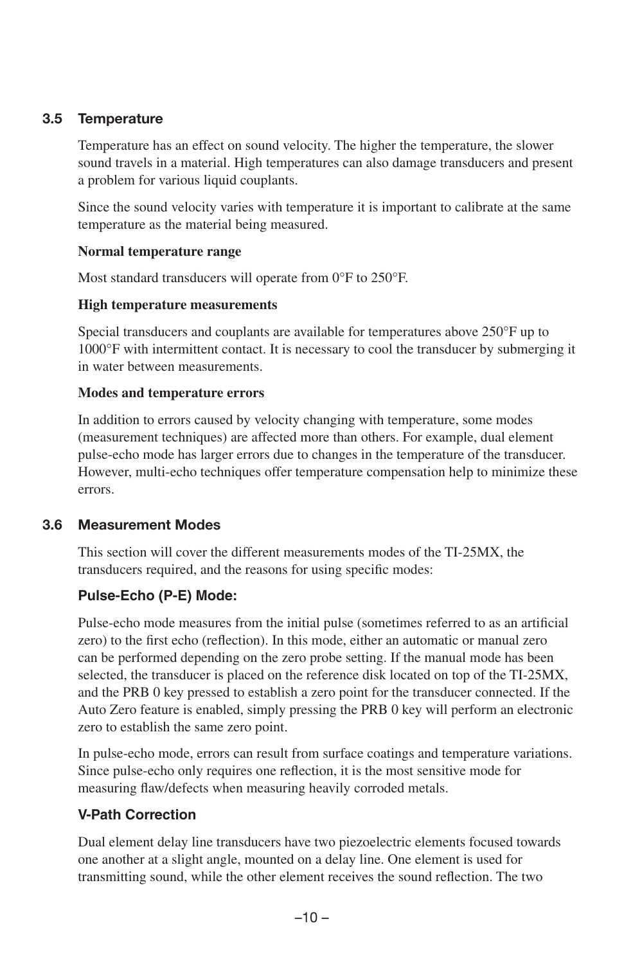#### 3.5 Temperature

Temperature has an effect on sound velocity. The higher the temperature, the slower sound travels in a material. High temperatures can also damage transducers and present a problem for various liquid couplants.

Since the sound velocity varies with temperature it is important to calibrate at the same temperature as the material being measured.

#### **Normal temperature range**

Most standard transducers will operate from 0°F to 250°F.

#### **High temperature measurements**

Special transducers and couplants are available for temperatures above 250°F up to 1000°F with intermittent contact. It is necessary to cool the transducer by submerging it in water between measurements.

#### **Modes and temperature errors**

In addition to errors caused by velocity changing with temperature, some modes (measurement techniques) are affected more than others. For example, dual element pulse-echo mode has larger errors due to changes in the temperature of the transducer. However, multi-echo techniques offer temperature compensation help to minimize these errors.

#### 3.6 Measurement Modes

This section will cover the different measurements modes of the TI-25MX, the transducers required, and the reasons for using specific modes:

#### **Pulse-Echo (P-E) Mode:**

Pulse-echo mode measures from the initial pulse (sometimes referred to as an artificial zero) to the first echo (reflection). In this mode, either an automatic or manual zero can be performed depending on the zero probe setting. If the manual mode has been selected, the transducer is placed on the reference disk located on top of the TI-25MX, and the PRB 0 key pressed to establish a zero point for the transducer connected. If the Auto Zero feature is enabled, simply pressing the PRB 0 key will perform an electronic zero to establish the same zero point.

In pulse-echo mode, errors can result from surface coatings and temperature variations. Since pulse-echo only requires one reflection, it is the most sensitive mode for measuring flaw/defects when measuring heavily corroded metals.

#### **V-Path Correction**

Dual element delay line transducers have two piezoelectric elements focused towards one another at a slight angle, mounted on a delay line. One element is used for transmitting sound, while the other element receives the sound reflection. The two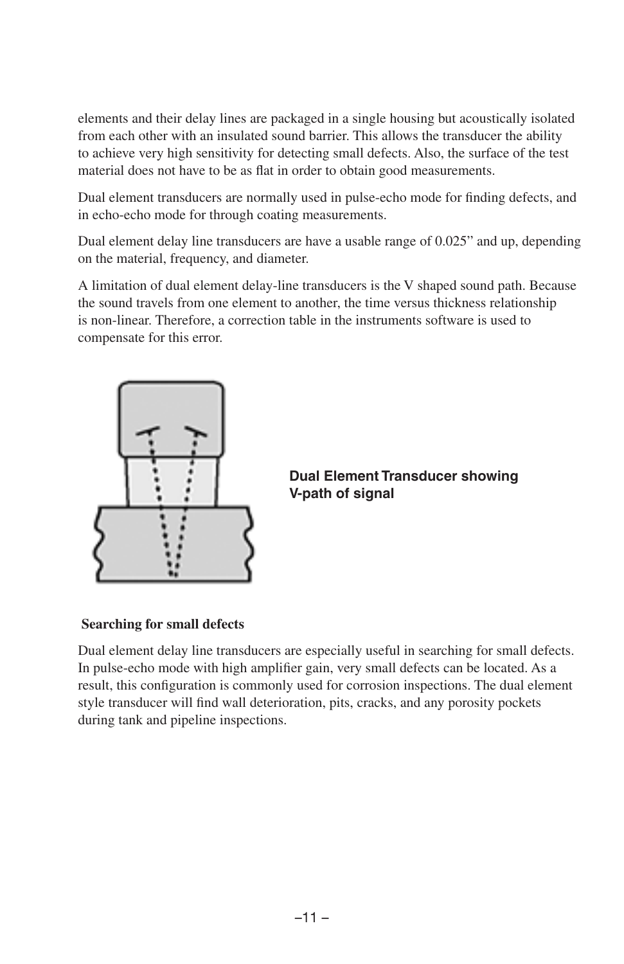elements and their delay lines are packaged in a single housing but acoustically isolated from each other with an insulated sound barrier. This allows the transducer the ability to achieve very high sensitivity for detecting small defects. Also, the surface of the test material does not have to be as flat in order to obtain good measurements.

Dual element transducers are normally used in pulse-echo mode for finding defects, and in echo-echo mode for through coating measurements.

Dual element delay line transducers are have a usable range of 0.025" and up, depending on the material, frequency, and diameter.

A limitation of dual element delay-line transducers is the V shaped sound path. Because the sound travels from one element to another, the time versus thickness relationship is non-linear. Therefore, a correction table in the instruments software is used to compensate for this error.



**Dual Element Transducer showing V-path of signal**

#### **Searching for small defects**

Dual element delay line transducers are especially useful in searching for small defects. In pulse-echo mode with high amplifier gain, very small defects can be located. As a result, this configuration is commonly used for corrosion inspections. The dual element style transducer will find wall deterioration, pits, cracks, and any porosity pockets during tank and pipeline inspections.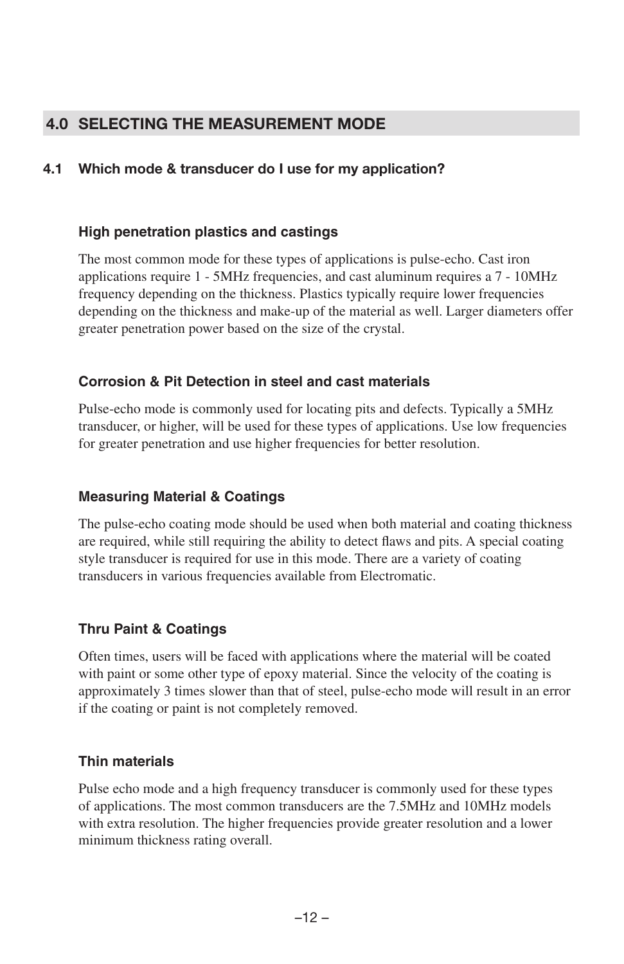# 4.0 SELECTING THE MEASUREMENT MODE

### 4.1 Which mode & transducer do I use for my application?

#### **High penetration plastics and castings**

The most common mode for these types of applications is pulse-echo. Cast iron applications require 1 - 5MHz frequencies, and cast aluminum requires a 7 - 10MHz frequency depending on the thickness. Plastics typically require lower frequencies depending on the thickness and make-up of the material as well. Larger diameters offer greater penetration power based on the size of the crystal.

#### **Corrosion & Pit Detection in steel and cast materials**

Pulse-echo mode is commonly used for locating pits and defects. Typically a 5MHz transducer, or higher, will be used for these types of applications. Use low frequencies for greater penetration and use higher frequencies for better resolution.

#### **Measuring Material & Coatings**

The pulse-echo coating mode should be used when both material and coating thickness are required, while still requiring the ability to detect flaws and pits. A special coating style transducer is required for use in this mode. There are a variety of coating transducers in various frequencies available from Electromatic.

#### **Thru Paint & Coatings**

Often times, users will be faced with applications where the material will be coated with paint or some other type of epoxy material. Since the velocity of the coating is approximately 3 times slower than that of steel, pulse-echo mode will result in an error if the coating or paint is not completely removed.

#### **Thin materials**

Pulse echo mode and a high frequency transducer is commonly used for these types of applications. The most common transducers are the 7.5MHz and 10MHz models with extra resolution. The higher frequencies provide greater resolution and a lower minimum thickness rating overall.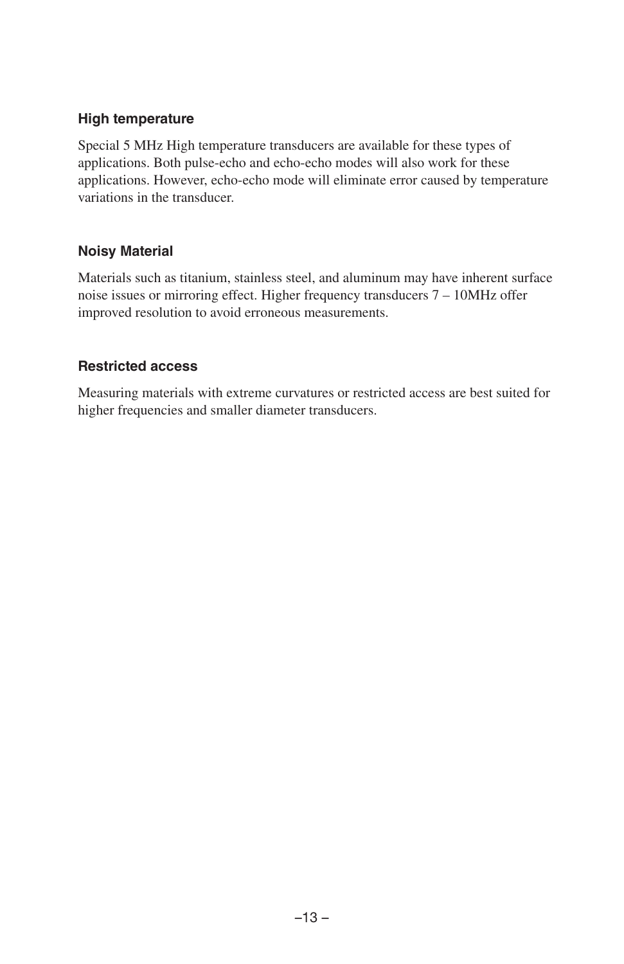#### **High temperature**

Special 5 MHz High temperature transducers are available for these types of applications. Both pulse-echo and echo-echo modes will also work for these applications. However, echo-echo mode will eliminate error caused by temperature variations in the transducer.

#### **Noisy Material**

Materials such as titanium, stainless steel, and aluminum may have inherent surface noise issues or mirroring effect. Higher frequency transducers 7 – 10MHz offer improved resolution to avoid erroneous measurements.

#### **Restricted access**

Measuring materials with extreme curvatures or restricted access are best suited for higher frequencies and smaller diameter transducers.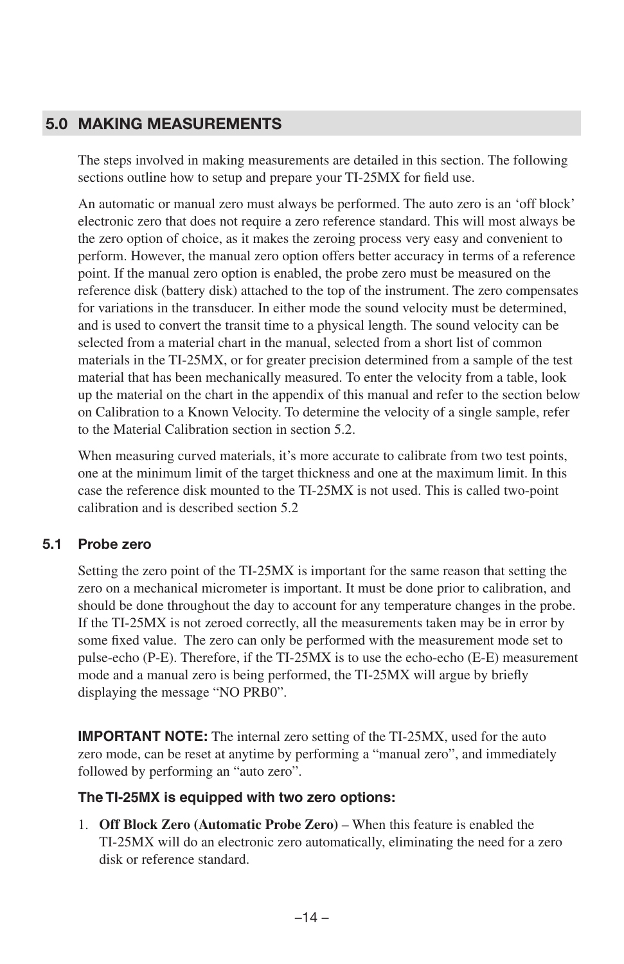# 5.0 MAKING MEASUREMENTS

The steps involved in making measurements are detailed in this section. The following sections outline how to setup and prepare your TI-25MX for field use.

An automatic or manual zero must always be performed. The auto zero is an 'off block' electronic zero that does not require a zero reference standard. This will most always be the zero option of choice, as it makes the zeroing process very easy and convenient to perform. However, the manual zero option offers better accuracy in terms of a reference point. If the manual zero option is enabled, the probe zero must be measured on the reference disk (battery disk) attached to the top of the instrument. The zero compensates for variations in the transducer. In either mode the sound velocity must be determined, and is used to convert the transit time to a physical length. The sound velocity can be selected from a material chart in the manual, selected from a short list of common materials in the TI-25MX, or for greater precision determined from a sample of the test material that has been mechanically measured. To enter the velocity from a table, look up the material on the chart in the appendix of this manual and refer to the section below on Calibration to a Known Velocity. To determine the velocity of a single sample, refer to the Material Calibration section in section 5.2.

When measuring curved materials, it's more accurate to calibrate from two test points, one at the minimum limit of the target thickness and one at the maximum limit. In this case the reference disk mounted to the TI-25MX is not used. This is called two-point calibration and is described section 5.2

#### 5.1 Probe zero

Setting the zero point of the TI-25MX is important for the same reason that setting the zero on a mechanical micrometer is important. It must be done prior to calibration, and should be done throughout the day to account for any temperature changes in the probe. If the TI-25MX is not zeroed correctly, all the measurements taken may be in error by some fixed value. The zero can only be performed with the measurement mode set to pulse-echo (P-E). Therefore, if the TI-25MX is to use the echo-echo (E-E) measurement mode and a manual zero is being performed, the TI-25MX will argue by briefly displaying the message "NO PRB0".

**IMPORTANT NOTE:** The internal zero setting of the TI-25MX, used for the auto zero mode, can be reset at anytime by performing a "manual zero", and immediately followed by performing an "auto zero".

#### **The TI-25MX is equipped with two zero options:**

1. **Off Block Zero (Automatic Probe Zero)** – When this feature is enabled the TI-25MX will do an electronic zero automatically, eliminating the need for a zero disk or reference standard.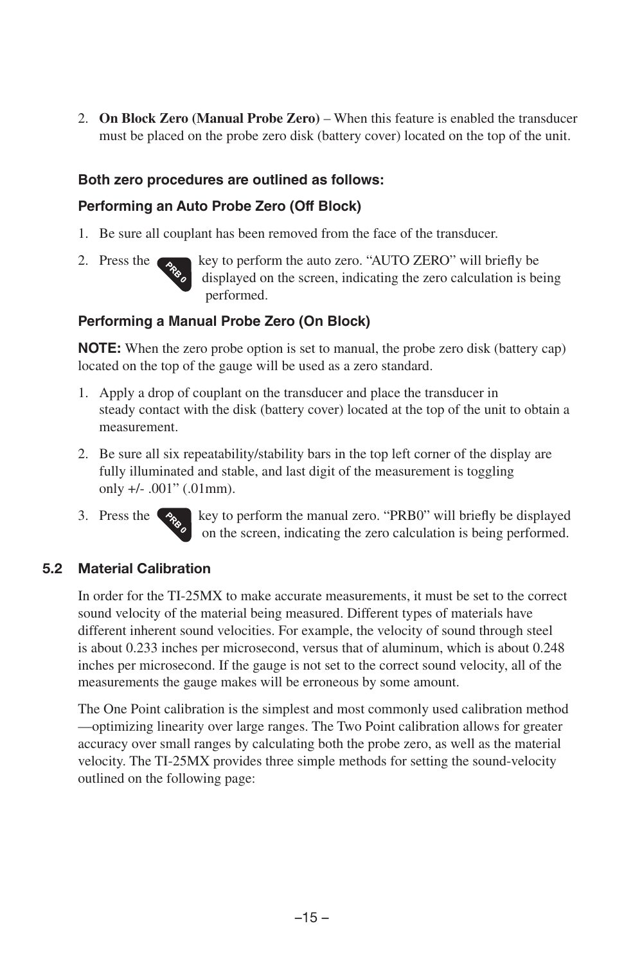2. **On Block Zero (Manual Probe Zero)** – When this feature is enabled the transducer must be placed on the probe zero disk (battery cover) located on the top of the unit.

#### **Both zero procedures are outlined as follows:**

#### **Performing an Auto Probe Zero (Off Block)**

- 1. Be sure all couplant has been removed from the face of the transducer.
- 

2. Press the  $\epsilon_{\text{obs}}$  key to perform the auto zero. "AUTO ZERO" will briefly be displayed on the screen, indicating the zero calculation is being performed.

#### **Performing a Manual Probe Zero (On Block)**

**NOTE:** When the zero probe option is set to manual, the probe zero disk (battery cap) located on the top of the gauge will be used as a zero standard.

- 1. Apply a drop of couplant on the transducer and place the transducer in steady contact with the disk (battery cover) located at the top of the unit to obtain a measurement.
- 2. Be sure all six repeatability/stability bars in the top left corner of the display are fully illuminated and stable, and last digit of the measurement is toggling only +/- .001" (.01mm).
- 3. Press the  $\langle \cdot \rangle$  key to perform the manual zero. "PRB0" will briefly be displayed on the screen, indicating the zero calculation is being performed.

#### 5.2 Material Calibration

In order for the TI-25MX to make accurate measurements, it must be set to the correct sound velocity of the material being measured. Different types of materials have different inherent sound velocities. For example, the velocity of sound through steel is about 0.233 inches per microsecond, versus that of aluminum, which is about 0.248 inches per microsecond. If the gauge is not set to the correct sound velocity, all of the measurements the gauge makes will be erroneous by some amount.

The One Point calibration is the simplest and most commonly used calibration method —optimizing linearity over large ranges. The Two Point calibration allows for greater accuracy over small ranges by calculating both the probe zero, as well as the material velocity. The TI-25MX provides three simple methods for setting the sound-velocity outlined on the following page: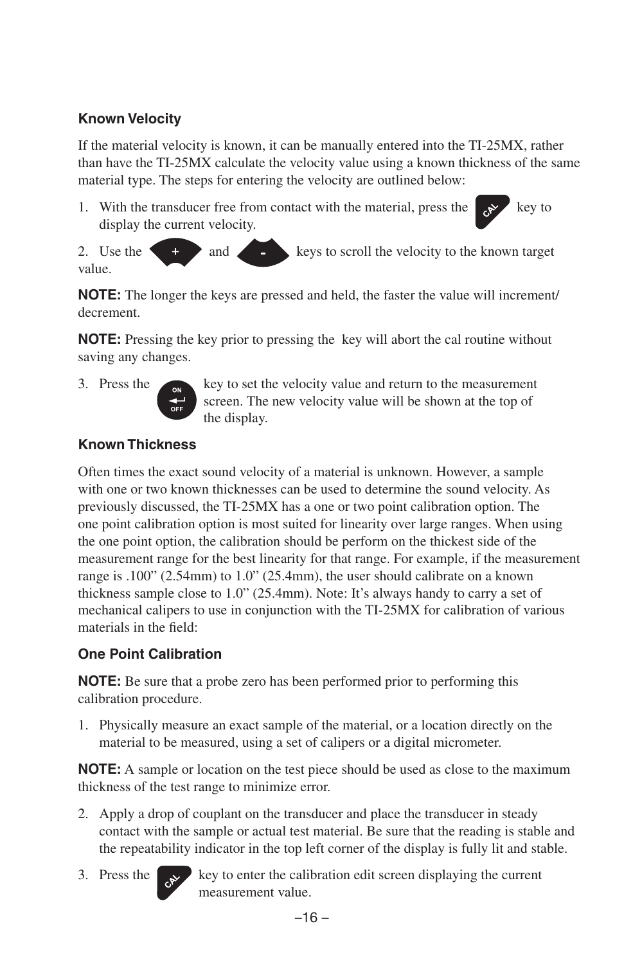# **Known Velocity**

If the material velocity is known, it can be manually entered into the TI-25MX, rather than have the TI-25MX calculate the velocity value using a known thickness of the same material type. The steps for entering the velocity are outlined below:

1. With the transducer free from contact with the material, press the  $k^*$  key to display the current velocity.



2. Use the  $\leftarrow$  and  $\leftarrow$  and  $\leftarrow$  keys to scroll the velocity to the known target value.

**NOTE:** The longer the keys are pressed and held, the faster the value will increment/ decrement.

**NOTE:** Pressing the key prior to pressing the key will abort the cal routine without saving any changes.



3. Press the key to set the velocity value and return to the measurement screen. The new velocity value will be shown at the top of the display.

# **Known Thickness**

Often times the exact sound velocity of a material is unknown. However, a sample with one or two known thicknesses can be used to determine the sound velocity. As previously discussed, the TI-25MX has a one or two point calibration option. The one point calibration option is most suited for linearity over large ranges. When using the one point option, the calibration should be perform on the thickest side of the measurement range for the best linearity for that range. For example, if the measurement range is .100" (2.54mm) to 1.0" (25.4mm), the user should calibrate on a known thickness sample close to 1.0" (25.4mm). Note: It's always handy to carry a set of mechanical calipers to use in conjunction with the TI-25MX for calibration of various materials in the field:

# **One Point Calibration**

**NOTE:** Be sure that a probe zero has been performed prior to performing this calibration procedure.

1. Physically measure an exact sample of the material, or a location directly on the material to be measured, using a set of calipers or a digital micrometer.

**NOTE:** A sample or location on the test piece should be used as close to the maximum thickness of the test range to minimize error.

- 2. Apply a drop of couplant on the transducer and place the transducer in steady contact with the sample or actual test material. Be sure that the reading is stable and the repeatability indicator in the top left corner of the display is fully lit and stable.
- 

3. Press the  $k$  key to enter the calibration edit screen displaying the current measurement value.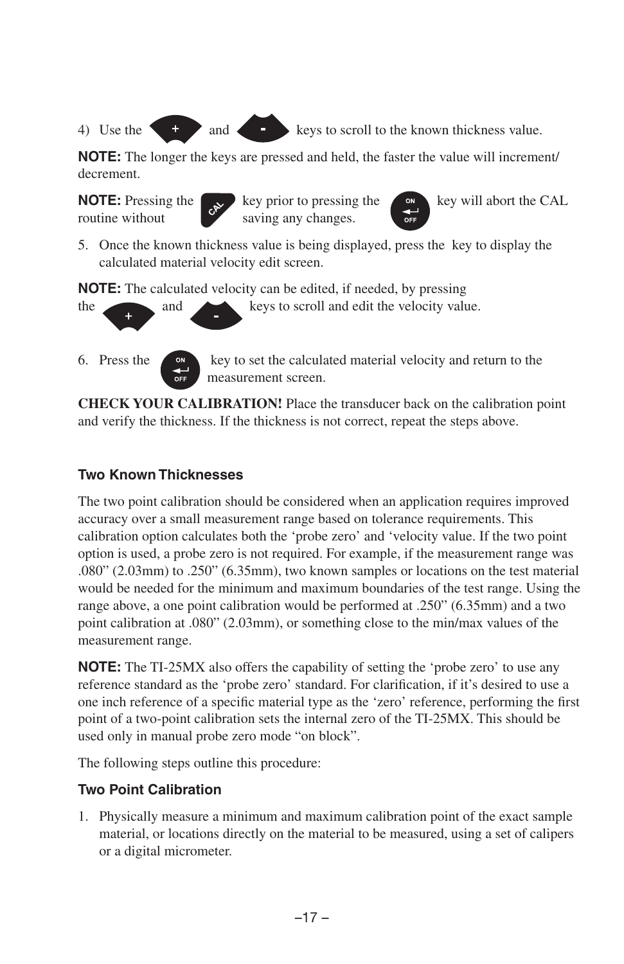4) Use the  $\leftarrow$  and keys to scroll to the known thickness value.

**NOTE:** The longer the keys are pressed and held, the faster the value will increment/ decrement.





5. Once the known thickness value is being displayed, press the key to display the calculated material velocity edit screen.

**NOTE:** The calculated velocity can be edited, if needed, by pressing

the and and keys to scroll and edit the velocity value.

6. Press the  $\left\langle \begin{array}{c} \bullet \\ \bullet \end{array} \right\rangle$  key to set the calculated material velocity and return to the measurement screen.

**CHECK YOUR CALIBRATION!** Place the transducer back on the calibration point and verify the thickness. If the thickness is not correct, repeat the steps above.

#### **Two Known Thicknesses**

The two point calibration should be considered when an application requires improved accuracy over a small measurement range based on tolerance requirements. This calibration option calculates both the 'probe zero' and 'velocity value. If the two point option is used, a probe zero is not required. For example, if the measurement range was .080" (2.03mm) to .250" (6.35mm), two known samples or locations on the test material would be needed for the minimum and maximum boundaries of the test range. Using the range above, a one point calibration would be performed at .250" (6.35mm) and a two point calibration at .080" (2.03mm), or something close to the min/max values of the measurement range.

**NOTE:** The TI-25MX also offers the capability of setting the 'probe zero' to use any reference standard as the 'probe zero' standard. For clarification, if it's desired to use a one inch reference of a specific material type as the 'zero' reference, performing the first point of a two-point calibration sets the internal zero of the TI-25MX. This should be used only in manual probe zero mode "on block".

The following steps outline this procedure:

# **Two Point Calibration**

1. Physically measure a minimum and maximum calibration point of the exact sample material, or locations directly on the material to be measured, using a set of calipers or a digital micrometer.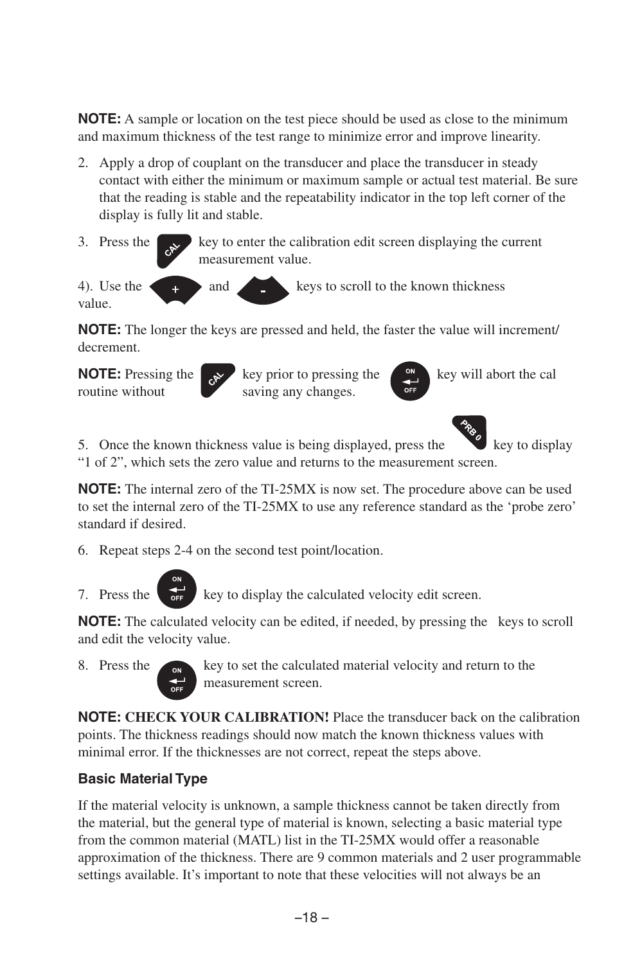**NOTE:** A sample or location on the test piece should be used as close to the minimum and maximum thickness of the test range to minimize error and improve linearity.

- 2. Apply a drop of couplant on the transducer and place the transducer in steady contact with either the minimum or maximum sample or actual test material. Be sure that the reading is stable and the repeatability indicator in the top left corner of the display is fully lit and stable.
- 3. Press the  $\sim$  key to enter the calibration edit screen displaying the current measurement value.

4). Use the  $\left\langle \frac{1}{4} \right\rangle$  and keys to scroll to the known thickness value.

**NOTE:** The longer the keys are pressed and held, the faster the value will increment/ decrement.

routine without saving any changes.

**NOTE:** Pressing the key prior to pressing the key will abort the cal





5. Once the known thickness value is being displayed, press the key to display "1 of 2", which sets the zero value and returns to the measurement screen.

**NOTE:** The internal zero of the TI-25MX is now set. The procedure above can be used to set the internal zero of the TI-25MX to use any reference standard as the 'probe zero' standard if desired.

6. Repeat steps 2-4 on the second test point/location.

7. Press the  $\overline{f}$  key to display the calculated velocity edit screen.

**NOTE:** The calculated velocity can be edited, if needed, by pressing the keys to scroll and edit the velocity value.

8. Press the  $\sim$  key to set the calculated material velocity and return to the measurement screen.

**NOTE: CHECK YOUR CALIBRATION!** Place the transducer back on the calibration points. The thickness readings should now match the known thickness values with minimal error. If the thicknesses are not correct, repeat the steps above.

# **Basic Material Type**

If the material velocity is unknown, a sample thickness cannot be taken directly from the material, but the general type of material is known, selecting a basic material type from the common material (MATL) list in the TI-25MX would offer a reasonable approximation of the thickness. There are 9 common materials and 2 user programmable settings available. It's important to note that these velocities will not always be an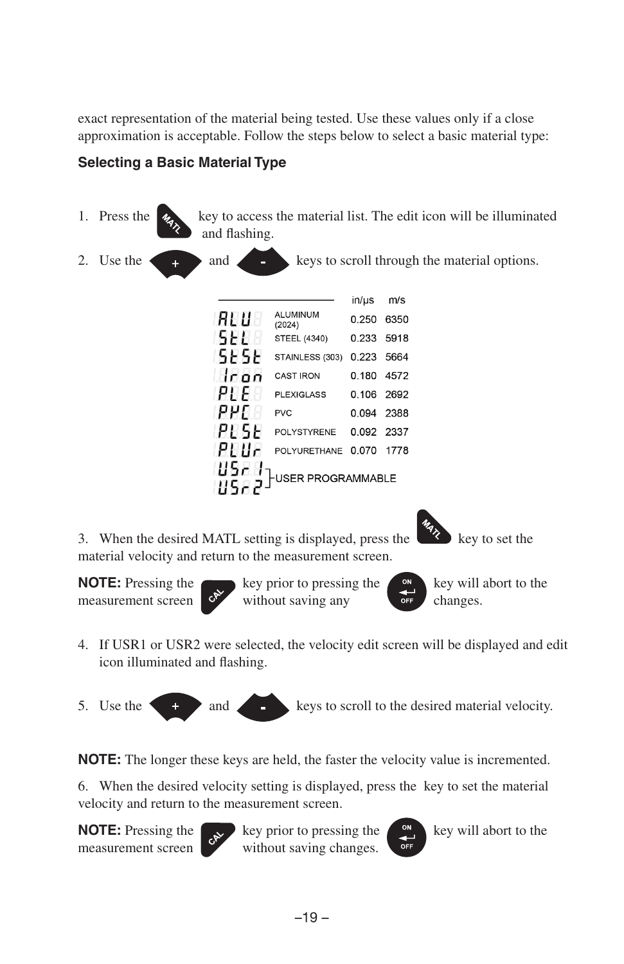exact representation of the material being tested. Use these values only if a close approximation is acceptable. Follow the steps below to select a basic material type:

# **Selecting a Basic Material Type**



- 4. If USR1 or USR2 were selected, the velocity edit screen will be displayed and edit icon illuminated and flashing.
- 5. Use the  $\leftarrow$  and keys to scroll to the desired material velocity.

**NOTE:** The longer these keys are held, the faster the velocity value is incremented.

6. When the desired velocity setting is displayed, press the key to set the material velocity and return to the measurement screen.



**NOTE:** Pressing the key prior to pressing the key will abort to the measurement screen without saving changes.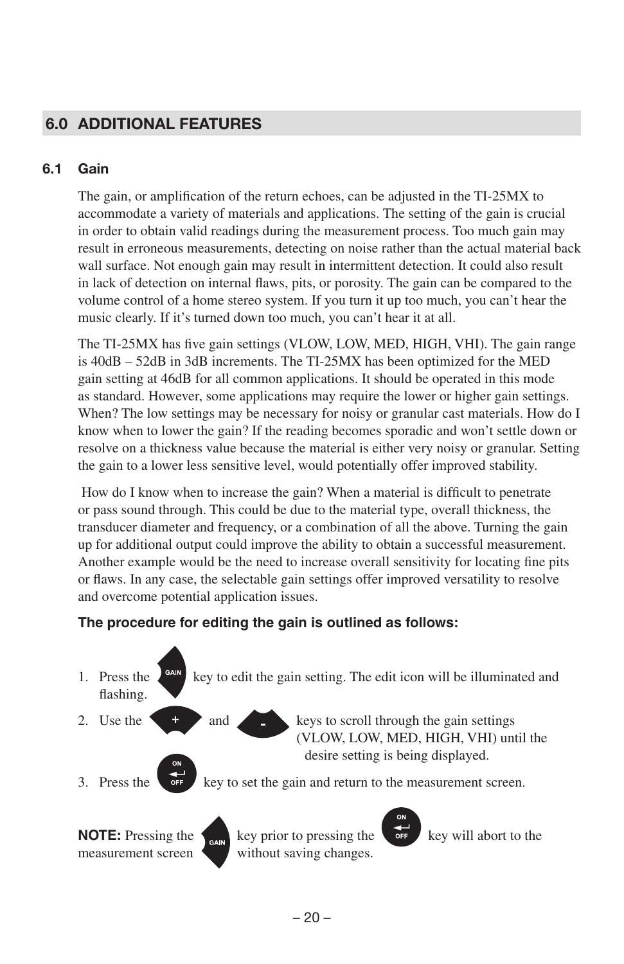# 6.0 ADDITIONAL FEATURES

#### 6.1 Gain

The gain, or amplification of the return echoes, can be adjusted in the TI-25MX to accommodate a variety of materials and applications. The setting of the gain is crucial in order to obtain valid readings during the measurement process. Too much gain may result in erroneous measurements, detecting on noise rather than the actual material back wall surface. Not enough gain may result in intermittent detection. It could also result in lack of detection on internal flaws, pits, or porosity. The gain can be compared to the volume control of a home stereo system. If you turn it up too much, you can't hear the music clearly. If it's turned down too much, you can't hear it at all.

The TI-25MX has five gain settings (VLOW, LOW, MED, HIGH, VHI). The gain range is 40dB – 52dB in 3dB increments. The TI-25MX has been optimized for the MED gain setting at 46dB for all common applications. It should be operated in this mode as standard. However, some applications may require the lower or higher gain settings. When? The low settings may be necessary for noisy or granular cast materials. How do I know when to lower the gain? If the reading becomes sporadic and won't settle down or resolve on a thickness value because the material is either very noisy or granular. Setting the gain to a lower less sensitive level, would potentially offer improved stability.

 How do I know when to increase the gain? When a material is difficult to penetrate or pass sound through. This could be due to the material type, overall thickness, the transducer diameter and frequency, or a combination of all the above. Turning the gain up for additional output could improve the ability to obtain a successful measurement. Another example would be the need to increase overall sensitivity for locating fine pits or flaws. In any case, the selectable gain settings offer improved versatility to resolve and overcome potential application issues.

#### **The procedure for editing the gain is outlined as follows:**

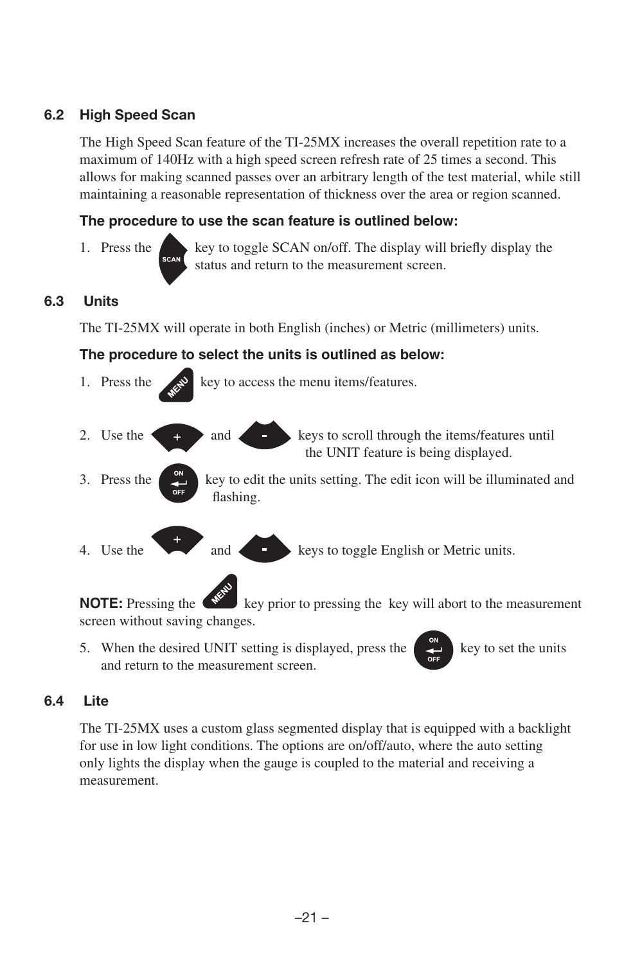### 6.2 High Speed Scan

The High Speed Scan feature of the TI-25MX increases the overall repetition rate to a maximum of 140Hz with a high speed screen refresh rate of 25 times a second. This allows for making scanned passes over an arbitrary length of the test material, while still maintaining a reasonable representation of thickness over the area or region scanned.

#### **The procedure to use the scan feature is outlined below:**

1. Press the key to toggle SCAN on/off. The display will briefly display the status and return to the measurement screen.

# 6.3 Units

The TI-25MX will operate in both English (inches) or Metric (millimeters) units.

#### **The procedure to select the units is outlined as below:**



screen without saving changes.

5. When the desired UNIT setting is displayed, press the  $\left(\begin{array}{c} \bullet \\ \bullet \end{array}\right)$  key to set the units and return to the measurement screen.

#### 6.4 Lite

The TI-25MX uses a custom glass segmented display that is equipped with a backlight for use in low light conditions. The options are on/off/auto, where the auto setting only lights the display when the gauge is coupled to the material and receiving a measurement.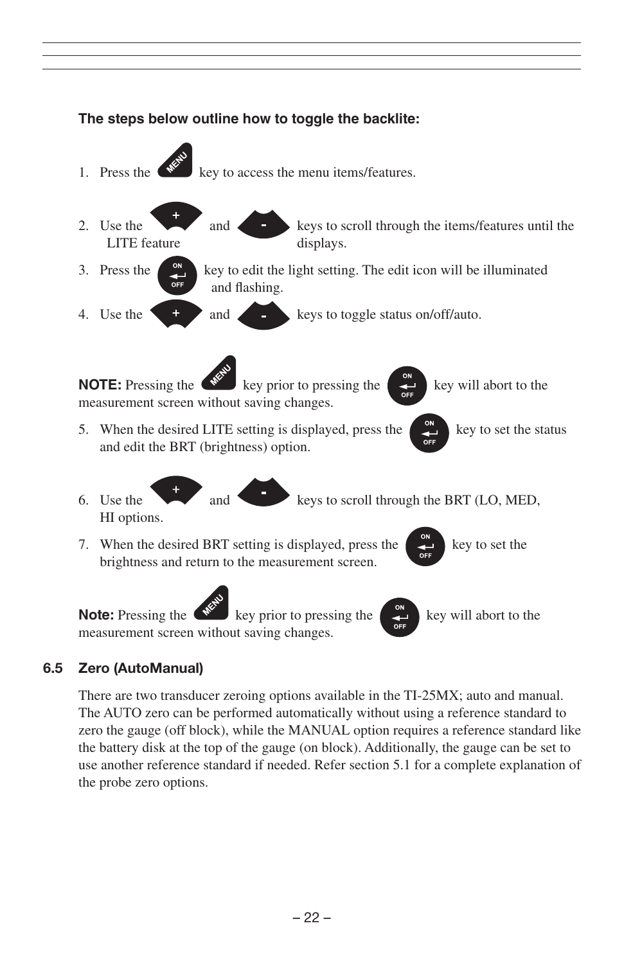

#### 6.5 Zero (AutoManual)

There are two transducer zeroing options available in the TI-25MX; auto and manual. The AUTO zero can be performed automatically without using a reference standard to zero the gauge (off block), while the MANUAL option requires a reference standard like the battery disk at the top of the gauge (on block). Additionally, the gauge can be set to use another reference standard if needed. Refer section 5.1 for a complete explanation of the probe zero options.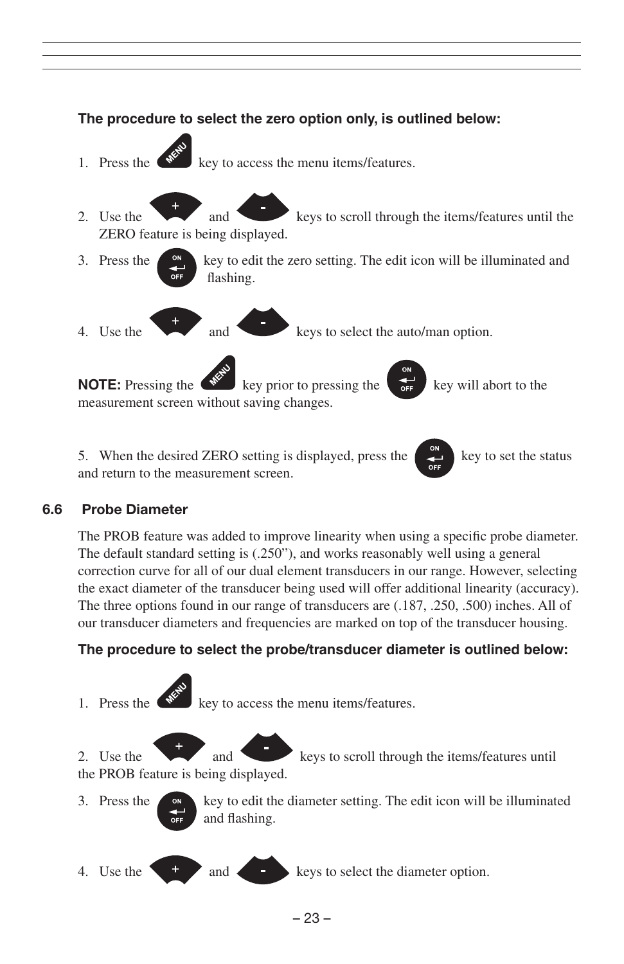

5. When the desired ZERO setting is displayed, press the  $\left\lfloor \frac{1}{x} \right\rfloor$  key to set the status and return to the measurement screen.

#### 6.6 Probe Diameter

The PROB feature was added to improve linearity when using a specific probe diameter. The default standard setting is (.250"), and works reasonably well using a general correction curve for all of our dual element transducers in our range. However, selecting the exact diameter of the transducer being used will offer additional linearity (accuracy). The three options found in our range of transducers are (.187, .250, .500) inches. All of our transducer diameters and frequencies are marked on top of the transducer housing.

#### **The procedure to select the probe/transducer diameter is outlined below:**

1. Press the  $\left\langle \mathbf{w}^{\mathbf{z}}\right\rangle$  key to access the menu items/features.

2. Use the and keys to scroll through the items/features until the PROB feature is being displayed.

- 3. Press the **key to edit the diameter setting.** The edit icon will be illuminated and flashing.
- 4. Use the  $\begin{array}{c} 1 \\ 4 \end{array}$  and  $\begin{array}{c} 1 \\ 4 \end{array}$  keys to select the diameter option.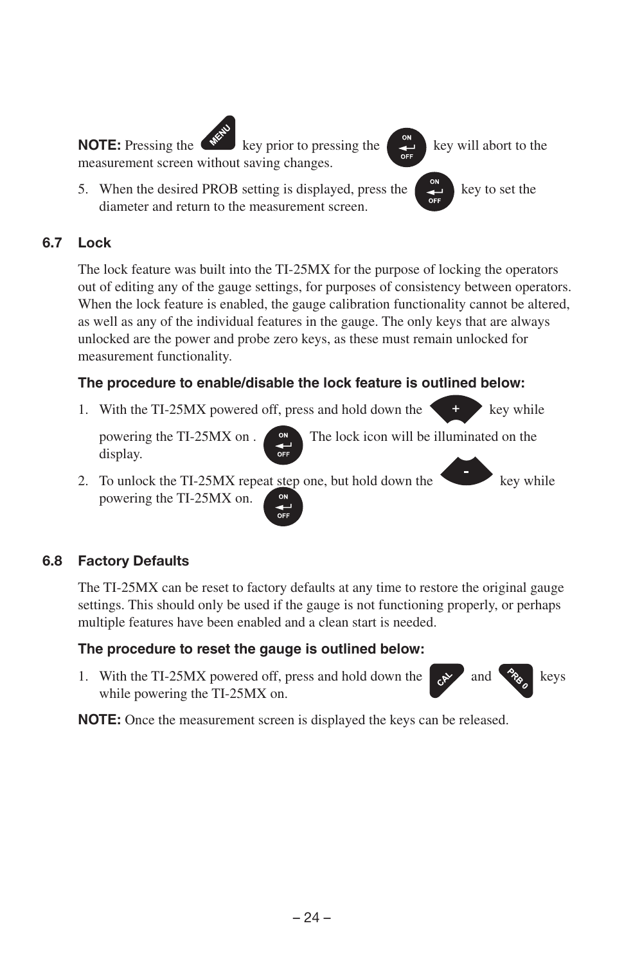

# 6.7 Lock

The lock feature was built into the TI-25MX for the purpose of locking the operators out of editing any of the gauge settings, for purposes of consistency between operators. When the lock feature is enabled, the gauge calibration functionality cannot be altered, as well as any of the individual features in the gauge. The only keys that are always unlocked are the power and probe zero keys, as these must remain unlocked for measurement functionality.

# **The procedure to enable/disable the lock feature is outlined below:**

1. With the TI-25MX powered off, press and hold down the key while

display.

powering the TI-25MX on .  $\qquad \circ \circ$  The lock icon will be illuminated on the

2. To unlock the TI-25MX repeat step one, but hold down the key while powering the TI-25MX on.

# 6.8 Factory Defaults

The TI-25MX can be reset to factory defaults at any time to restore the original gauge settings. This should only be used if the gauge is not functioning properly, or perhaps multiple features have been enabled and a clean start is needed.

# **The procedure to reset the gauge is outlined below:**

1. With the TI-25MX powered off, press and hold down the and  $\mathcal{R}_{\&}$  and keys while powering the TI-25MX on.

**NOTE:** Once the measurement screen is displayed the keys can be released.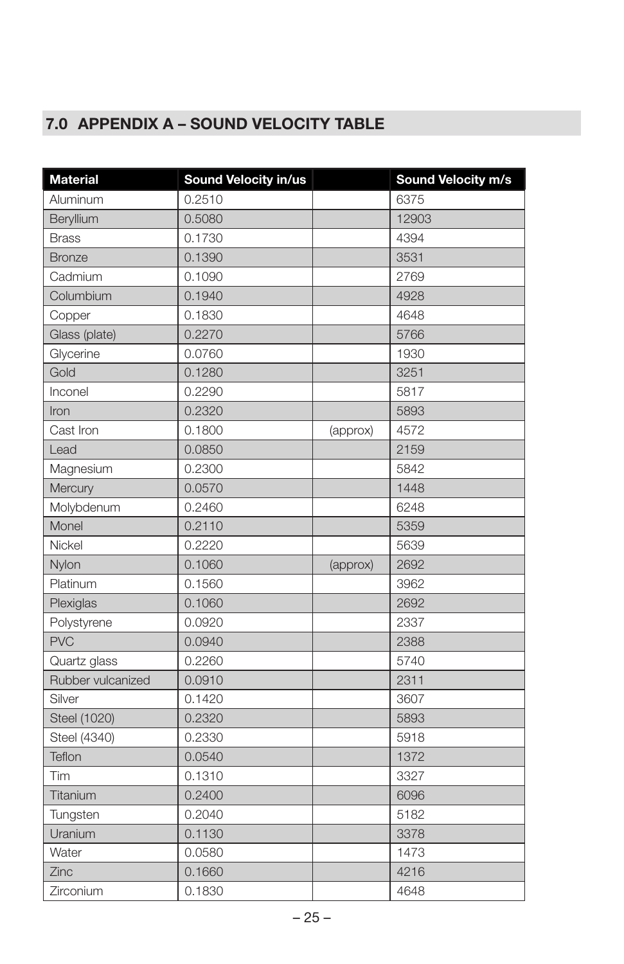# 7.0 APPENDIX A – SOUND VELOCITY TABLE

| <b>Material</b>   | Sound Velocity in/us |          | Sound Velocity m/s |
|-------------------|----------------------|----------|--------------------|
| Aluminum          | 0.2510               |          | 6375               |
| Beryllium         | 0.5080               |          | 12903              |
| <b>Brass</b>      | 0.1730               |          | 4394               |
| <b>Bronze</b>     | 0.1390               |          | 3531               |
| Cadmium           | 0.1090               |          | 2769               |
| Columbium         | 0.1940               |          | 4928               |
| Copper            | 0.1830               |          | 4648               |
| Glass (plate)     | 0.2270               |          | 5766               |
| Glycerine         | 0.0760               |          | 1930               |
| Gold              | 0.1280               |          | 3251               |
| Inconel           | 0.2290               |          | 5817               |
| Iron              | 0.2320               |          | 5893               |
| Cast Iron         | 0.1800               | (approx) | 4572               |
| Lead              | 0.0850               |          | 2159               |
| Magnesium         | 0.2300               |          | 5842               |
| Mercury           | 0.0570               |          | 1448               |
| Molybdenum        | 0.2460               |          | 6248               |
| Monel             | 0.2110               |          | 5359               |
| Nickel            | 0.2220               |          | 5639               |
| Nylon             | 0.1060               | (approx) | 2692               |
| Platinum          | 0.1560               |          | 3962               |
| Plexiglas         | 0.1060               |          | 2692               |
| Polystyrene       | 0.0920               |          | 2337               |
| <b>PVC</b>        | 0.0940               |          | 2388               |
| Quartz glass      | 0.2260               |          | 5740               |
| Rubber vulcanized | 0.0910               |          | 2311               |
| Silver            | 0.1420               |          | 3607               |
| Steel (1020)      | 0.2320               |          | 5893               |
| Steel (4340)      | 0.2330               |          | 5918               |
| Teflon            | 0.0540               |          | 1372               |
| Tim               | 0.1310               |          | 3327               |
| Titanium          | 0.2400               |          | 6096               |
| Tungsten          | 0.2040               |          | 5182               |
| Uranium           | 0.1130               |          | 3378               |
| Water             | 0.0580               |          | 1473               |
| Zinc              | 0.1660               |          | 4216               |
| Zirconium         | 0.1830               |          | 4648               |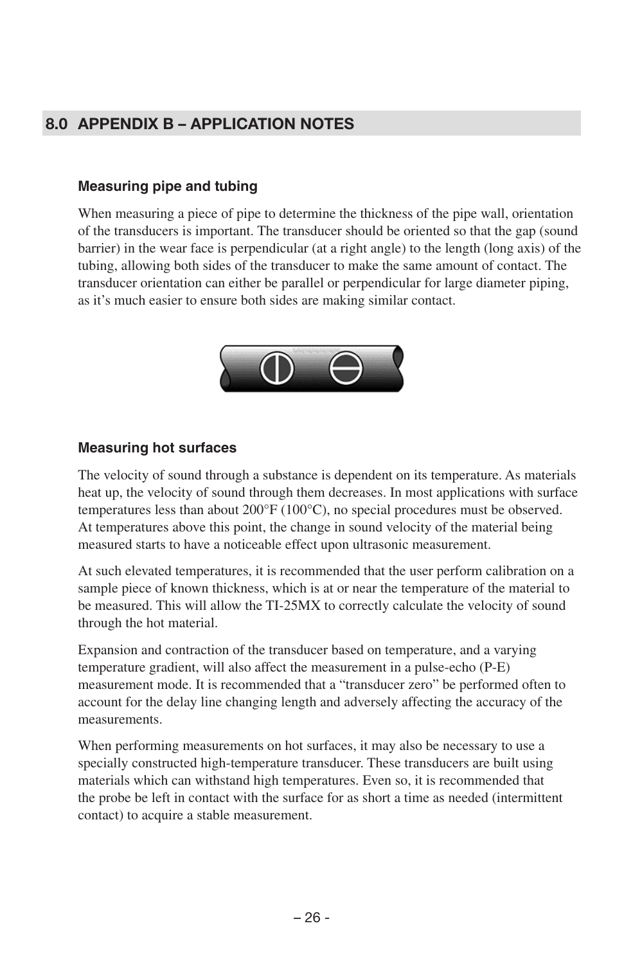# 8.0 APPENDIX B – APPLICATION NOTES

#### **Measuring pipe and tubing**

When measuring a piece of pipe to determine the thickness of the pipe wall, orientation of the transducers is important. The transducer should be oriented so that the gap (sound barrier) in the wear face is perpendicular (at a right angle) to the length (long axis) of the tubing, allowing both sides of the transducer to make the same amount of contact. The transducer orientation can either be parallel or perpendicular for large diameter piping, as it's much easier to ensure both sides are making similar contact.



#### **Measuring hot surfaces**

The velocity of sound through a substance is dependent on its temperature. As materials heat up, the velocity of sound through them decreases. In most applications with surface temperatures less than about 200°F (100°C), no special procedures must be observed. At temperatures above this point, the change in sound velocity of the material being measured starts to have a noticeable effect upon ultrasonic measurement.

At such elevated temperatures, it is recommended that the user perform calibration on a sample piece of known thickness, which is at or near the temperature of the material to be measured. This will allow the TI-25MX to correctly calculate the velocity of sound through the hot material.

Expansion and contraction of the transducer based on temperature, and a varying temperature gradient, will also affect the measurement in a pulse-echo (P-E) measurement mode. It is recommended that a "transducer zero" be performed often to account for the delay line changing length and adversely affecting the accuracy of the measurements.

When performing measurements on hot surfaces, it may also be necessary to use a specially constructed high-temperature transducer. These transducers are built using materials which can withstand high temperatures. Even so, it is recommended that the probe be left in contact with the surface for as short a time as needed (intermittent contact) to acquire a stable measurement.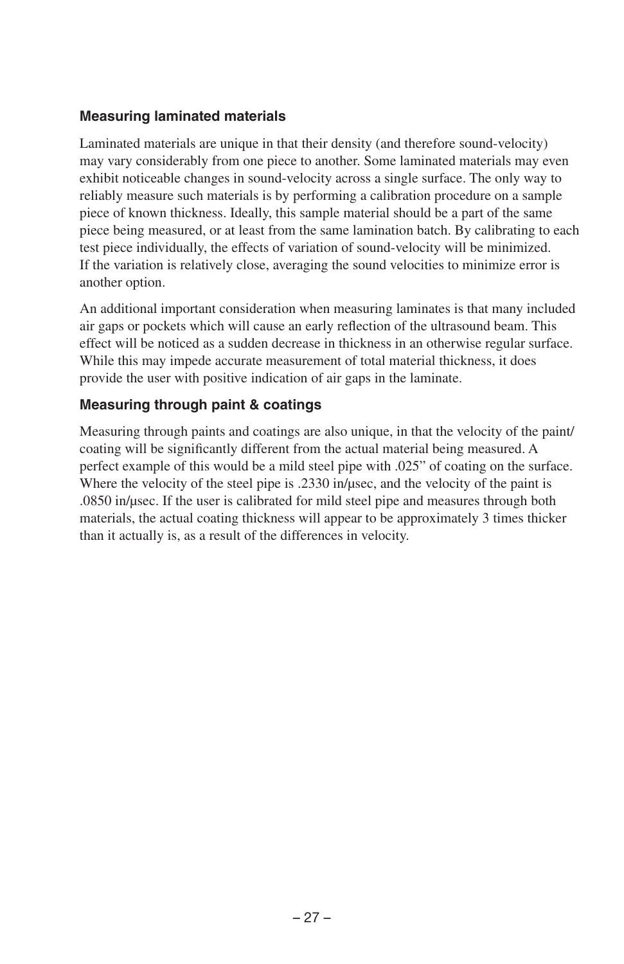#### **Measuring laminated materials**

Laminated materials are unique in that their density (and therefore sound-velocity) may vary considerably from one piece to another. Some laminated materials may even exhibit noticeable changes in sound-velocity across a single surface. The only way to reliably measure such materials is by performing a calibration procedure on a sample piece of known thickness. Ideally, this sample material should be a part of the same piece being measured, or at least from the same lamination batch. By calibrating to each test piece individually, the effects of variation of sound-velocity will be minimized. If the variation is relatively close, averaging the sound velocities to minimize error is another option.

An additional important consideration when measuring laminates is that many included air gaps or pockets which will cause an early reflection of the ultrasound beam. This effect will be noticed as a sudden decrease in thickness in an otherwise regular surface. While this may impede accurate measurement of total material thickness, it does provide the user with positive indication of air gaps in the laminate.

#### **Measuring through paint & coatings**

Measuring through paints and coatings are also unique, in that the velocity of the paint/ coating will be significantly different from the actual material being measured. A perfect example of this would be a mild steel pipe with .025" of coating on the surface. Where the velocity of the steel pipe is .2330 in/usec, and the velocity of the paint is .0850 in/μsec. If the user is calibrated for mild steel pipe and measures through both materials, the actual coating thickness will appear to be approximately 3 times thicker than it actually is, as a result of the differences in velocity.